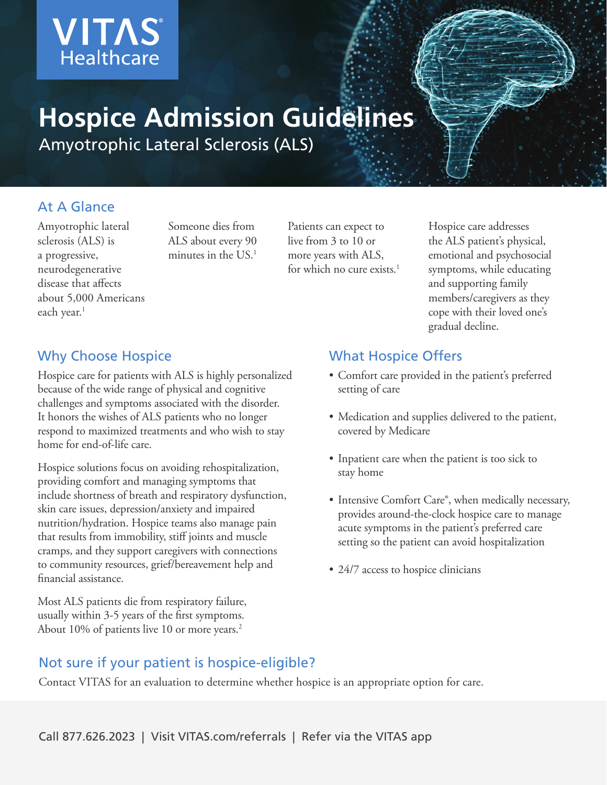

# **Hospice Admission Guidelines**

Amyotrophic Lateral Sclerosis (ALS)

## At A Glance

Amyotrophic lateral sclerosis (ALS) is a progressive, neurodegenerative disease that affects about 5,000 Americans each year.<sup>1</sup>

Someone dies from ALS about every 90 minutes in the US.1

Patients can expect to live from 3 to 10 or more years with ALS, for which no cure exists. $1$  Hospice care addresses the ALS patient's physical, emotional and psychosocial symptoms, while educating and supporting family members/caregivers as they cope with their loved one's gradual decline.

## Why Choose Hospice

Hospice care for patients with ALS is highly personalized because of the wide range of physical and cognitive challenges and symptoms associated with the disorder. It honors the wishes of ALS patients who no longer respond to maximized treatments and who wish to stay home for end-of-life care.

Hospice solutions focus on avoiding rehospitalization, providing comfort and managing symptoms that include shortness of breath and respiratory dysfunction, skin care issues, depression/anxiety and impaired nutrition/hydration. Hospice teams also manage pain that results from immobility, stiff joints and muscle cramps, and they support caregivers with connections to community resources, grief/bereavement help and financial assistance.

Most ALS patients die from respiratory failure, usually within 3-5 years of the first symptoms. About 10% of patients live 10 or more years.<sup>2</sup>

#### What Hospice Offers

- Comfort care provided in the patient's preferred setting of care
- Medication and supplies delivered to the patient, covered by Medicare
- Inpatient care when the patient is too sick to stay home
- Intensive Comfort Care®, when medically necessary, provides around-the-clock hospice care to manage acute symptoms in the patient's preferred care setting so the patient can avoid hospitalization
- 24/7 access to hospice clinicians

## Not sure if your patient is hospice-eligible?

Contact VITAS for an evaluation to determine whether hospice is an appropriate option for care.